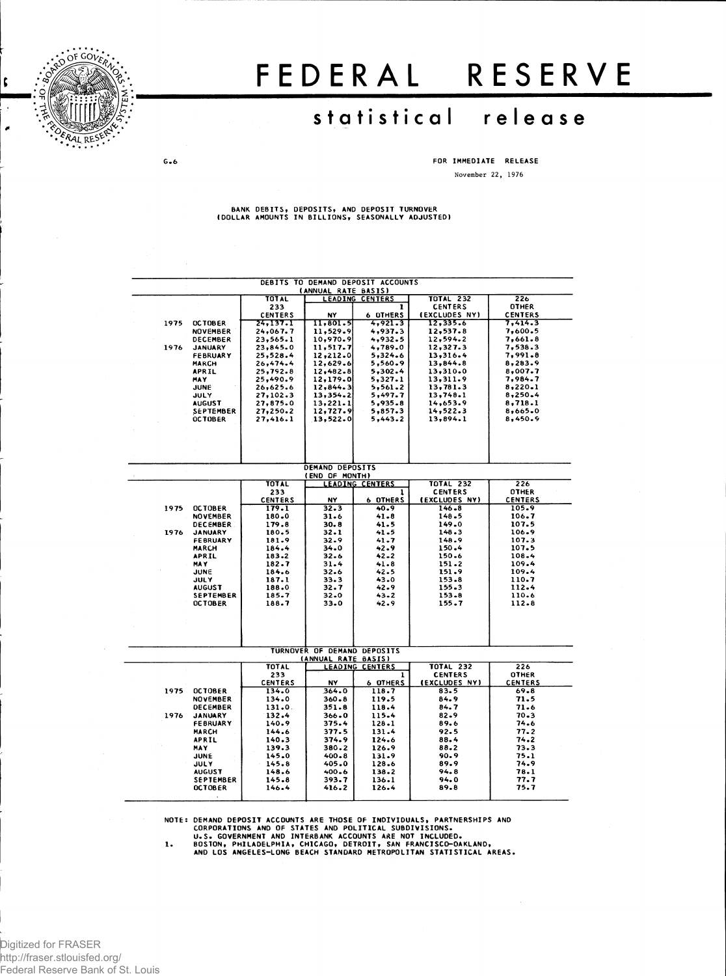

 $G - 6$ 

t

## FEDERA L RESERV E

## statistical release

**FOR IMMEDIATE RELEASE November 22, 1976**

**BANK DEBITS, DEPOSITS, AND DEPOSIT TURNOVER (DOLLAR AMOUNTS IN BILLIONS, SEASONALLY ADJUSTED)**

| DEBITS TO DEMAND DEPOSIT ACCOUNTS |                            |                            |                             |                        |                                 |                |  |  |  |
|-----------------------------------|----------------------------|----------------------------|-----------------------------|------------------------|---------------------------------|----------------|--|--|--|
|                                   |                            |                            | (ANNUAL RATE BASIS)         |                        |                                 | 226            |  |  |  |
|                                   |                            | <b>TOTAL</b>               |                             | <b>LEADING CENTERS</b> | <b>TOTAL 232</b>                | <b>OTHER</b>   |  |  |  |
|                                   |                            | 233                        | NY                          | 1<br><b>6 DTHERS</b>   | <b>CENTERS</b><br>(EXCLUDES NY) | <b>CENTERS</b> |  |  |  |
| 1975                              | <b>OCTOBER</b>             | <b>CENTERS</b><br>24,137.1 | 11,801.5                    | 4,921.3                | 12,335.6                        | 7,414.3        |  |  |  |
|                                   | <b>NOVEMBER</b>            | 24.067.7                   | 11,529.9                    | 4,937.3                | 12,537.8                        | 7,600.5        |  |  |  |
|                                   | DECEMBER                   | 23,565.1                   | 10,970.9                    | 4,932.5                | 12,594.2                        | 7,661.8        |  |  |  |
| 1976                              | <b>JANUARY</b>             | 23,845.0                   | 11, 517.7                   | 4,789.0                | 12,327.3                        | 7,538.3        |  |  |  |
|                                   | <b>FEBRUARY</b>            | 25,528.4                   | 12,212.0                    | 5,324.6                | 13,316.4                        | 7,991.8        |  |  |  |
|                                   | <b>MARCH</b>               | 26,474.4                   | 12,629.6                    | 5,560.9                | 13,844.8                        | 8,283.9        |  |  |  |
|                                   | APRIL                      | 25,792.8                   | 12,482.8                    | 5,302.4                | 13,310.0                        | 8,007.7        |  |  |  |
|                                   | <b>MAY</b>                 | 25,490.9                   | 12,179.0                    | 5,327.1                | 13,311.9                        | 7,984.7        |  |  |  |
|                                   | <b>JUNE</b>                | 26,625.6                   | 12,844.3                    | 5,561.2                | 13,781.3                        | 8,220.1        |  |  |  |
|                                   | JULY                       | 27,102.3                   | 13,354.2                    | 5,497.7                | 13,748.1                        | 8,250.4        |  |  |  |
|                                   | <b>AUGUST</b>              | 27,875.0                   | 13,221.1                    | 5,935.8                | 14,653.9                        | 8,718.1        |  |  |  |
|                                   | <b>SEPTEMBER</b>           | 27,250.2                   | 12,727.9                    | 5,857.3                | 14,522.3                        | 8,665.0        |  |  |  |
|                                   | <b>OCTOBER</b>             | 27,416.1                   | 13,522.0                    | 5,443.2                | 13,894.1                        | 8,450.9        |  |  |  |
|                                   |                            |                            |                             |                        |                                 |                |  |  |  |
|                                   |                            |                            |                             |                        |                                 |                |  |  |  |
|                                   |                            |                            |                             |                        |                                 |                |  |  |  |
|                                   |                            |                            |                             |                        |                                 |                |  |  |  |
|                                   |                            |                            |                             |                        |                                 |                |  |  |  |
|                                   |                            |                            | <b>DEMAND DEPOSITS</b>      |                        |                                 |                |  |  |  |
|                                   |                            |                            | (END OF MONTH)              |                        |                                 |                |  |  |  |
|                                   |                            | <b>TOTAL</b>               |                             | <b>LEADING CENTERS</b> | <b>TOTAL 232</b>                | 226            |  |  |  |
|                                   |                            | 233                        |                             | ı                      | <b>CENTERS</b>                  | <b>OTHER</b>   |  |  |  |
|                                   |                            | <b>CENTERS</b>             | NY                          | 6 OTHERS               | (EXCLUDES NY)                   | <b>CENTERS</b> |  |  |  |
| 1975                              | <b>OCTOBER</b>             | 179.1                      | 32.3                        | 40.9                   | 146.8                           | 105.9          |  |  |  |
|                                   | <b>NOVEMBER</b>            | 180.0                      | 31.6                        | $41 - 8$               | 148.5                           | 106.7          |  |  |  |
|                                   | <b>DECEMBER</b>            | 179.8                      | 30.8                        | 41.5                   | 149.0                           | 107.5          |  |  |  |
| 1976                              | <b>JANUARY</b>             | 180.5                      | 32.1                        | 41.5                   | 148.3                           | 106.9          |  |  |  |
|                                   | <b>FEBRUARY</b>            | 181.9                      | 32.9                        | 41.7                   | 148.9                           | 107.3          |  |  |  |
|                                   | MARCH                      | 184.4                      | 34.0                        | 42.9                   | 150.4                           | 107.5          |  |  |  |
|                                   | <b>APRIL</b>               | 183.2                      | 32.6                        | $42 - 2$               | 150.6                           | 108.4          |  |  |  |
|                                   | <b>MAY</b>                 | 182.7                      | 31.4                        | 41.8                   | 151.2<br>151.9                  | 109.4<br>109.4 |  |  |  |
|                                   | <b>JUNE</b><br><b>JULY</b> | 184.6<br>187.1             | $32 - 6$                    | 42.5<br>43.0           | 153.8                           | 110.7          |  |  |  |
|                                   | <b>AUGUST</b>              | 188.0                      | 33.3<br>32.7                | 42.9                   | 155.3                           | 112.4          |  |  |  |
|                                   | SEPTEMBER                  | 185.7                      | $32 - 0$                    | $43 - 2$               | 153.8                           | 110.6          |  |  |  |
|                                   | <b>OCTOBER</b>             | 188.7                      | 33.0                        | 42.9                   | 155.7                           | 112.8          |  |  |  |
|                                   |                            |                            |                             |                        |                                 |                |  |  |  |
|                                   |                            |                            |                             |                        |                                 |                |  |  |  |
|                                   |                            |                            |                             |                        |                                 |                |  |  |  |
|                                   |                            |                            |                             |                        |                                 |                |  |  |  |
|                                   |                            |                            |                             |                        |                                 |                |  |  |  |
|                                   |                            |                            | TURNOVER OF DEMAND DEPOSITS |                        |                                 |                |  |  |  |
|                                   |                            |                            | (ANNUAL RATE BASIS)         |                        |                                 |                |  |  |  |
|                                   |                            | <b>TOTAL</b>               |                             | <b>LEADING CENTERS</b> | <b>TOTAL 232</b>                | 226            |  |  |  |
|                                   |                            | 233                        |                             | ı                      | <b>CENTERS</b>                  | <b>OTHER</b>   |  |  |  |
|                                   |                            | <b>CENTERS</b>             | NY                          | 6 OTHERS               | (EXCLUDES NY)                   | <b>CENTERS</b> |  |  |  |
| 1975                              | <b>OCTOBER</b>             | 134.0                      | 364.0                       | 118.7                  | 83.5                            | 69.8           |  |  |  |
|                                   | <b>NOVEMBER</b>            | $134 - 0$                  | $360 - 8$                   | 119.5                  | 84.9                            | 71.5           |  |  |  |
|                                   | DECEMBER                   | 131.0.                     | 351.8                       | 118.4                  | 84.7                            | 71.6           |  |  |  |
| 1976                              | <b>JANUARY</b>             | 132.4                      | 366.0                       | 115.4                  | $82 - 9$                        | $70 - 3$       |  |  |  |
|                                   | <b>FEBRUARY</b>            | 140.9                      | 375.4                       | $128 - 1$              | 89.6                            | 74.6           |  |  |  |
|                                   | <b>MARCH</b>               | 144.6                      | 377.5                       | 131.4                  | 92.5                            | 77.2           |  |  |  |
|                                   | APRIL                      | $140 - 3$                  | 374.9                       | 124.6                  | 88.4                            | 74.2           |  |  |  |
|                                   | MAY                        | 139.3                      | $380 - 2$                   | 126.9                  | 88.2                            | 73.3           |  |  |  |
|                                   | JUNE                       | 145.0                      | $400 - 8$                   | 131.9                  | 90.9                            | 75.1           |  |  |  |
|                                   | <b>JULY</b>                | 145.8                      | 405.0                       | 128.6                  | 89.9                            | 74.9           |  |  |  |
|                                   | <b>AUGUST</b>              | 148.6                      | 400.6                       | 138.2                  | 94.8                            | 78.1           |  |  |  |
|                                   | <b>SEPTEMBER</b>           | 145.8                      | 393.7                       | 136.1                  | 94.0                            | 77.7           |  |  |  |
|                                   | <b>OCTOBER</b>             | 146.4                      | 416.2                       | 126.4                  | 89.8                            | 75.7           |  |  |  |
|                                   | $\ddot{\phantom{a}}$       |                            |                             |                        |                                 |                |  |  |  |

NOTE: DEMAND DEPOSIT ACCOUNTS ARE THOSE OF INDIVIDUALS, PARTNERSHIPS AND<br>CORPORATIONS AND OF STATES AND POLITICAL SUBDIVISIONS.<br>U.S. GOVERNMENT AND INTERBANK ACCOUNTS ARE NOT INCLUDED.<br>1. BOSTON, PHILADELPHIA, CHICAGO, DET

Digitized for FRASER http://fraser.stlouisfed.org/ Federal Reserve Bank of St. Louis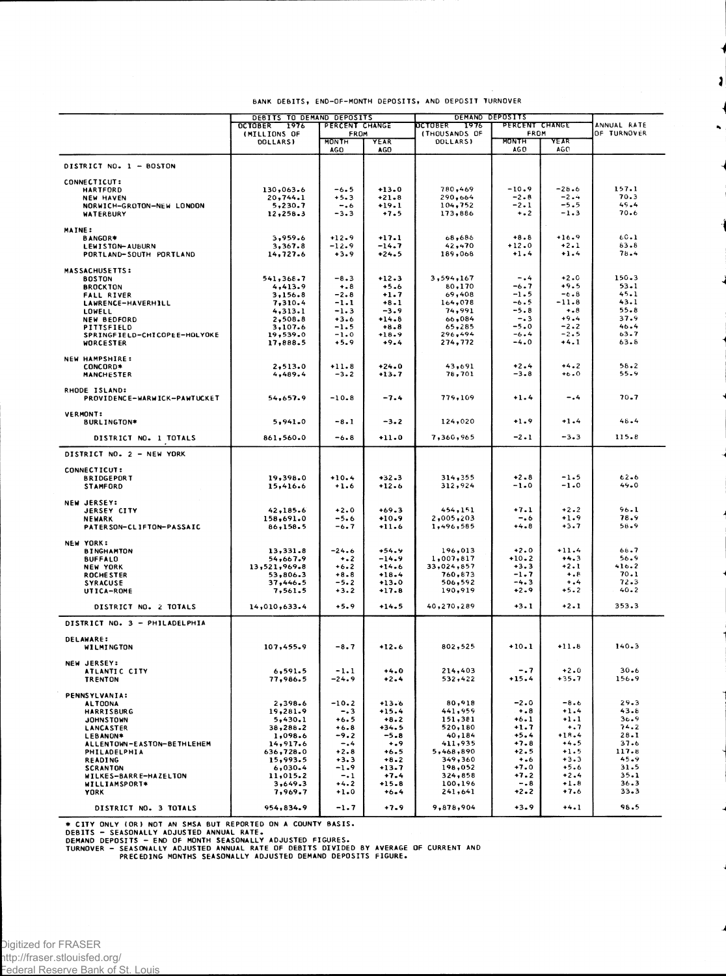|                                        | DEBITS TO DEMAND DEPOSITS |                     |                    | DEMAND DEPOSITS        |                      |                    |               |
|----------------------------------------|---------------------------|---------------------|--------------------|------------------------|----------------------|--------------------|---------------|
|                                        | 1976<br><b>OCTOBER</b>    | PERCENT CHANGE      |                    | <b>DCTOBER</b><br>1976 | PERCENT CHANGE       |                    | ANNUAL RATE   |
|                                        | (MILLIONS OF              | FROM                |                    | (THOUSANDS OF          | FROM                 |                    | OF TURNOVER   |
|                                        | <b>DOLLARS)</b>           | <b>MONTH</b><br>AGO | YEAR<br>AGO        | DOLLARS)               | <b>MONTH</b><br>AG O | YEAR<br>AGO        |               |
| DISTRICT NO. 1 - BOSTON                |                           |                     |                    |                        |                      |                    |               |
| CONNECTICUT:                           |                           |                     |                    |                        |                      |                    |               |
| <b>HARTFORD</b>                        | 130,063.6                 | -6.5                | $+13.0$            | 780,469                | $-10.9$              | $-28.6$            | 157.1         |
| <b>NEW HAVEN</b>                       | 20,744.1                  | $+5.3$              | $+21.8$            | 290,664                | $-2 - 8$             | $-2.4$             | 70.3          |
| NORWICH-GROTON-NEW LONDON              | 5,230.7                   | $-0.6$              | $+19.1$            | 104,752                | $-2.1$               | $-5.5$             | 49.4          |
| WATERBURY                              | 12,258.3                  | $-3.3$              | $+7.5$             | 173,886                | $\dots$              | $-1.3$             | 70.6          |
| <b>MAINE:</b>                          |                           |                     |                    |                        |                      |                    |               |
| <b>BANGOR*</b>                         | 3,959.6                   | $+12.9$             | $+17.1$            | 68,686                 | $+8.8$               | $+16.9$            | 60.1          |
| LEWISTON-AUBURN                        | 3,367.8                   | $-12.9$             | $-14.7$            | 42,470                 | $+12.0$              | $+2.1$             | 83.8          |
| PORTLAND-SOUTH PORTLAND                | 14,727.6                  | $+3.9$              | +24.5              | 189,068                | $+1.4$               | $+1.4$             | 78.4          |
|                                        |                           |                     |                    |                        |                      |                    |               |
| <b>MASSACHUSETTS:</b><br><b>BOSTON</b> | 541,368.7                 | $-8.3$              | $+12.3$            | 3,594,167              | $-0.4$               | $+2.0$             | $150 - 3$     |
| <b>BROCKTON</b>                        | 4,413.9                   | $+ 8$               | $+5.6$             | 80,170                 | -6.7                 | $+9.5$             | $53 - 1$      |
| <b>FALL RIVER</b>                      | 3,156.8                   | $-2.8$              | $+1.7$             | 69,408                 | $-1.5$               | $-6.8$             | 45.1          |
| LAWRENCE-HAVERHILL                     | 7,310.4                   | $-1.1$              | $+8 - 1$           | 164,078                | $-6.5$               | -11.8              | 43.1          |
| <b>LOWELL</b>                          | 4,313.1                   | $-1.3$              | $-3.9$             | 74,991                 | $-5.8$               | $+ 8$              | $55 - 8$      |
| <b>NEW BEDFORD</b>                     | 2,508.8                   | $+3.6$              | $+14.8$            | 66,084                 | $-0.3$               | $+9.4$             | 37.9          |
| PITTSFIELD                             | 3,107.6                   | -1.5                | $+8.8$             | 65,285                 | $-5.0$               | $-2.2$             | 46.4          |
| SPRINGFIELD-CHICOPEE-HOLYOKE           | 19,539.0                  | $-1.0$              | $+18.9$            | 296,494                | $-6.4$               | $-2.5$             | 63.7          |
| <b>WORCESTER</b>                       | 17,888.5                  | $+5.9$              | $+9.4$             | 274,772                | $-4.0$               | $+4.1$             | 63.8          |
| NEW HAMPSHIRE:                         |                           |                     |                    |                        |                      |                    |               |
| CONCORD*                               | 2,513.0                   | $+11.8$             | +24.0              | 43,691                 | $+2.4$               | $+4.2$             | 58.2          |
| <b>MANCHESTER</b>                      | 4,489.4                   | $-3.2$              | $+13.7$            | 78,701                 | $-3 - 8$             | $+6.0$             | 55.9          |
|                                        |                           |                     |                    |                        |                      |                    |               |
| RHODE ISLAND:                          |                           |                     |                    |                        |                      |                    |               |
| PROVIDENCE-WARWICK-PAWTUCKET           | 54,657.9                  | $-10.8$             | $-7.4$             | 779,109                | $+1.4$               | $-.4$              | $70 - 7$      |
| <b>VERMONT:</b>                        |                           |                     |                    |                        |                      |                    |               |
| <b>BURLINGTON*</b>                     | 5,941.0                   | $-8.1$              | $-3.2$             | 124,020                | $+1.9$               | $+1.4$             | 48.4          |
|                                        |                           |                     |                    |                        |                      |                    |               |
| DISTRICT NO. 1 TOTALS                  | 861,560.0                 | $-6 - 8$            | $+11.0$            | 7,360,965              | $-2.1$               | $-3.3$             | 115.8         |
| DISTRICT NO. 2 - NEW YORK              |                           |                     |                    |                        |                      |                    |               |
|                                        |                           |                     |                    |                        |                      |                    |               |
| CONNECTICUT:                           |                           |                     |                    |                        |                      |                    |               |
| <b>BRIDGEPORT</b>                      | 19,398.0                  | $+10.4$             | $+32 - 3$          | 314,355                | $+2 - 8$             | $-1.5$             | $62 - 6$      |
| <b>STAMFORD</b>                        | 15,416.6                  | $+1.6$              | $+12.6$            | 312,924                | $-1.0$               | $-1.0$             | 49.0          |
|                                        |                           |                     |                    |                        |                      |                    |               |
| <b>NEW JERSEY:</b>                     | 42, 185.6                 | $+2.0$              | $+69.3$            | 454,151                | $+7.1$               | $+2.2$             | 96.1          |
| <b>JERSEY CITY</b><br><b>NEWARK</b>    | 158,691.0                 | $-5.6$              | $+10.9$            | 2,005,203              | -.6                  | $+1.9$             | 78.9          |
| PATERSON-CLIFTON-PASSAIC               | 86,158.5                  | -6.7                | $+11.6$            | 1,496,585              | $+4.8$               | $+3.7$             | 58.9          |
|                                        |                           |                     |                    |                        |                      |                    |               |
| <b>NEW YORK:</b>                       |                           |                     |                    |                        |                      |                    |               |
| <b>BINGHAMTON</b>                      | 13,331.8                  | $-24.6$             | $+54.9$            | 196,013                | $+2.0$               | $+11.4$            | 66.7          |
| <b>BUFFALD</b>                         | 54,667.9                  | $\ddotsc$           | $-14.9$            | 1,007,817              | $+10.2$              | $+4.3$             | 56.9          |
| <b>NEW YORK</b>                        | 13,521,969.8              | $+6.2$              | $+14.6$            | 33,024,857             | $+3.3$<br>$-1.7$     | $+2.1$             | 416.2<br>70.1 |
| <b>ROCHESTER</b>                       | 53,806.3<br>37,446.5      | $+8.8$<br>-5.2      | $+18.4$<br>$+13.0$ | 760,873<br>506,592     | $-4.3$               | $+ 0.8$<br>$+ 0.4$ | 72.3          |
| <b>SYRACUSE</b><br>UTICA-ROME          | 7,561.5                   | $+3.2$              | $+17.8$            | 190,919                | $+2 - 9$             | $+5.2$             | 40.2          |
|                                        |                           |                     |                    |                        |                      |                    |               |
| DISTRICT NO. 2 TOTALS                  | 14,010,633.4              | $+5.9$              | $+14.5$            | 40,270,289             | $+3.1$               | $+2.1$             | 353.3         |
| DISTRICT NO. 3 - PHILADELPHIA          |                           |                     |                    |                        |                      |                    |               |
| <b>DELAWARE:</b>                       |                           |                     |                    |                        |                      |                    |               |
| WILMINGTON                             | 107,455.9                 | $-8.7$              | $+12.6$            | 802,525                | $+10.1$              | $+11.8$            | 140.3         |
|                                        |                           |                     |                    |                        |                      |                    |               |
| <b>NEW JERSEY:</b><br>ATLANTIC CITY    | 6, 591.5                  | $-1.1$              | $+4.0$             | 214,403                | $-0.7$               | $+2.0$             | $30 - 6$      |
| <b>TRENTON</b>                         | 77,986.5                  | $-24.9$             | $+2.4$             | 532,422                | $+15.4$              | $+35.7$            | 156.9         |
|                                        |                           |                     |                    |                        |                      |                    |               |
| <b>PENNSYLVANIA:</b>                   |                           |                     |                    |                        |                      |                    |               |
| <b>ALTOONA</b>                         | 2,398.6                   | $-10.2$             | $+13.6$            | 80,918                 | $-2.0$               | -8.6               | $29 - 3$      |
| <b>HARRISBURG</b>                      | 19,281.9                  | $-0.3$              | $+15.4$            | 441,959                | $+ 8$                | $+1.4$             | 43.8          |
| <b>JOHNSTOWN</b>                       | 5,430.1                   | +6.5<br>$+6.8$      | $+8.2$<br>$+34.5$  | 151,381                | $+6.1$<br>$+1.7$     | $+1.1$<br>$^{+.7}$ | 36.9<br>74.2  |
| LANCASTER<br>LEBANON*                  | 38,288.2<br>1,098.6       | -9.2                | $-5.8$             | 520,180<br>40,184      | $+5.4$               | $+18.4$            | $28 - 1$      |
| ALLENTOWN-EASTON-BETHLEHEM             | 14,917.6                  | $-.4$               | $+0.9$             | 411,935                | $+7.8$               | $+4.5$             | 37.6          |
| PHILADELPHIA                           | 636,728.0                 | $+2.8$              | $+6.5$             | 5,468,890              | $+2.5$               | $+1.5$             | 117.8         |
| <b>READING</b>                         | 15,993.5                  | $+3.3$              | $+8.2$             | 349,360                | $+ 0.6$              | $+3.3$             | 45.9          |
| <b>SCRANTON</b>                        | 6,030.4                   | -1.9                | $+13.7$            | 198,052                | $+7.0$               | $+5.6$             | 31.5          |
| WILKES-BARRE-HAZELTON                  | 11,015.2                  | $-.1$               | $+7.4$             | 324,858                | $+7.2$               | $+2.4$             | $35 - 1$      |
| WILLIAMSPORT*                          | 3,649.3                   | $+4.2$              | $+15.8$            | 100,196                | $-0.8$               | $+1.8$             | 36.3          |
| <b>YORK</b>                            | 7,969.7                   | $+1.0$              | $+6 - 4$           | 241,641                | $-2.2$               | $+7.6$             | $33 - 3$      |
| DISTRICT NO. 3 TOTALS                  | 954,834.9                 | $-1.7$              | $+7.9$             | 9,878,904              | $+3.9$               | $+4.1$             | 98.5          |

## **BANK DEBITS, END-OP-MONTH DEPOSITS, A ND DEPOSIT TURNOVER**

 $\mathbf{I}$ 

 $\ddot{\phantom{0}}$ 

\* CITY ONLY (OR) NOT AN SMSA BUT REPORTED ON A COUNTY BASIS.<br>DEBITS — SEASONALLY ADJUSTED ANNUAL RATE.<br>DEMAND DEPOSITS — END OF MONTH SEASONALLY ADJUSTED FIGURES.<br>TURNOVER — SEASONALLY ADJUSTED ANNUAL RATE OF DEBITS DIVIDE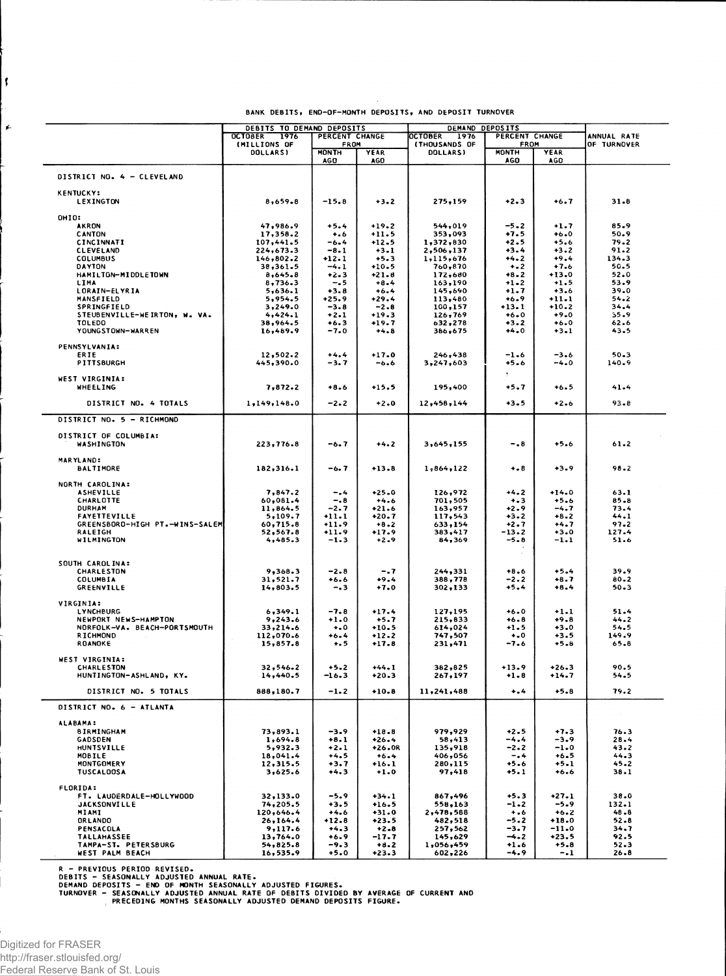| BANK DEBITS, END-OF-MONTH DEPOSITS, AND DEPOSIT TURNOVER |  |  |  |
|----------------------------------------------------------|--|--|--|
|----------------------------------------------------------|--|--|--|

|                                          | DEBITS TO DEMAND DEPOSITS              |                        | DEMAND DEPOSITS     |                                         |                               |                   |                            |
|------------------------------------------|----------------------------------------|------------------------|---------------------|-----------------------------------------|-------------------------------|-------------------|----------------------------|
|                                          | 1976<br><b>OCTOBER</b><br>(MILLIONS OF | PERCENT CHANGE<br>FROM |                     | <b>OCTOBER</b><br>1976<br>(THOUSANDS OF | PERCENT CHANGE<br><b>FROM</b> |                   | ANNUAL RATE<br>OF TURNOVER |
|                                          | DOLLARS)                               | <b>MONTH</b>           | YEAR                | DOLLARS)                                | MONTH                         | YEAR              |                            |
|                                          |                                        | <b>AGO</b>             | <b>AGO</b>          |                                         | AGO                           | <b>AGO</b>        |                            |
| DISTRICT NO. 4 - CLEVELAND               |                                        |                        |                     |                                         |                               |                   |                            |
| <b>KENTUCKY:</b><br>LEXINGTON            | 8,659.8                                | $-15.8$                | $+3.2$              | 275,159                                 | $+2.3$                        | $+6.7$            | $31 - 8$                   |
| OHIO:                                    |                                        |                        |                     |                                         |                               |                   |                            |
| <b>AKRON</b>                             | 47,986.9                               | $+5.4$                 | $+19.2$             | 544,019                                 | $-5 - 2$                      | $+1.7$            | 85.9                       |
| CANTON<br>CINCINNATI                     | 17,358.2<br>107,441.5                  | $^{+.6}$<br>-6.4       | $+11.5$<br>$+12.5$  | 353,093<br>1,372,830                    | $+7.5$<br>+2.5                | +6.0<br>$+5.6$    | 50.9<br>79.2               |
| <b>CLEVELAND</b>                         | 224,673.3                              | $-8.1$                 | $+3 - 1$            | 2,506,137                               | $+3.4$                        | $+3.2$            | 91.2                       |
| <b>COLUMBUS</b>                          | 146,802.2                              | $+12.1$                | $+5.3$              | 1,115,676                               | $+4.2$                        | $+9.4$            | 134.3                      |
| <b>DAYTON</b>                            | 38,361.5                               | $-4.1$                 | $+10.5$             | 760,870                                 | $+ 2$                         | $+7.6$            | 50.5                       |
| HAMILTON-MIDDLETOWN                      | 8,645.8                                | +2.3                   | $+21.8$             | 172,680                                 | $+8 - 2$                      | $+13.0$           | 52.0                       |
| LIMA                                     | 8,736.3                                | -. 5                   | $+8.4$              | 163,190<br>145,690                      | $+1 - 2$                      | $+1.5$<br>$+3.6$  | 53.9<br>39.0               |
| <b>LORAIN-ELYRIA</b><br>MANSFIELD        | 5,636.1<br>5,954.5                     | $+3.8$<br>$+25.9$      | $+6.4$<br>$+29.4$   | 113,480                                 | $+1.7$<br>+6.9                | $-11.1$           | 54.2                       |
| <b>SPRINGFIELD</b>                       | 3,249.0                                | $-3.8$                 | $-2.8$              | 100,157                                 | $+13.1$                       | $+10.2$           | 34.4                       |
| STEUBENVILLE-WEIRTON, W. VA.             | 4,424.1                                | $+2.1$                 | $+19.3$             | 126,769                                 | $+6.0$                        | $+9.0$            | 35.9                       |
| <b>TOLEDO</b>                            | 38,964.5                               | $+6.3$                 | $+19.7$             | 632,278                                 | $+3.2$                        | $+6.0$            | 62.6                       |
| YOUNGSTOWN-WARREN                        | 16,489.9                               | $-7.0$                 | $+4.8$              | 386,675                                 | $+4.0$                        | $+3.1$            | 43.5                       |
| <b>PENNSYLVANIA:</b>                     |                                        |                        |                     |                                         |                               |                   |                            |
| ERIE                                     | 12,502.2                               | $+4.4$                 | $+17.0$             | 246,438                                 | $-1.6$                        | $-3.6$            | $50 - 3$                   |
| PITTSBURGH                               | 445,390.0                              | -3.7                   | $-6.6$              | 3,247,603                               | $+5.6$                        | -4.0              | 140.9                      |
|                                          |                                        |                        |                     |                                         |                               |                   |                            |
| WEST VIRGINIA:                           |                                        |                        |                     |                                         |                               |                   |                            |
| <b>WHEELING</b>                          | 7,872.2                                | $+8.6$                 | $+15.5$             | 195,400                                 | $+5.7$                        | $+6.5$            | 41.4                       |
| DISTRICT NO. 4 TOTALS                    | 1,149,148.0                            | $-2.2$                 | $+2.0$              | 12,458,144                              | $+3.5$                        | +2.6              | $93 - 8$                   |
| DISTRICT NO. 5 - RICHMOND                |                                        |                        |                     |                                         |                               |                   |                            |
| DISTRICT OF COLUMBIA:<br>WASHINGTON      | 223,776.8                              | -6.7                   | $+4.2$              | 3,645,155                               | - . 8                         | $+5.6$            | 61.2                       |
| <b>MARYLAND:</b><br><b>BALTIMORE</b>     | 182,316.1                              | -6. 7                  | $+13.8$             | 1,864,122                               | $^{+8}$                       | $+3.9$            | 98.2                       |
| NORTH CAROLINA:                          |                                        |                        |                     |                                         |                               |                   |                            |
| <b>ASHEVILLE</b>                         | 7,847.2                                | -.4                    | $+25.0$             | 126,972                                 | $+4.2$                        | $+14.0$           | 63.1                       |
| CHARLOTTE                                | 60,081.4                               | $-.8$                  | $+4.6$              | 701,505                                 | $+ - 3$                       | $+5.6$            | $85 - 8$                   |
| <b>DURHAM</b><br><b>FAYETTEVILLE</b>     | 11,864.5<br>5,109.7                    | $-2.7$<br>$+11.1$      | $+21.6$<br>+20.7    | 163,957<br>117,543                      | $+2.9$<br>$+3.2$              | $-4.7$<br>$+8.2$  | 73.4<br>44.1               |
| GREENSBORD-HIGH PT.-WINS-SALEM           | 60,715.8                               | $+11.9$                | $+8 - 2$            | 633,154                                 | $+2.7$                        | $+4.7$            | 97.2                       |
| RALEIGH                                  | 52,567.8                               | $+11.9$                | $+17.9$             | 383,417                                 | -13.2                         | $+3.0$            | 127.4                      |
| WILMINGTON                               | 4,485.3                                | $-1.3$                 | $+2.9$              | 84,369                                  | $-5.8$                        | -1.1              | 51.6                       |
| SOUTH CAROLINA:                          |                                        |                        |                     |                                         |                               |                   |                            |
| CHARLESTON<br><b>COLUMBIA</b>            | 9,368.3<br>31,521.7                    | $-2.8$<br>$+6.6$       | $-.7$<br>$+9.4$     | 244,331<br>388,778                      | $+8.6$<br>$-2 - 2$            | $+5.4$<br>$+8.7$  | 39.9<br>80.2               |
| <b>GREENVILLE</b>                        | 14,803.5                               | -.3                    | $+7.0$              | 302,133                                 | $+5.4$                        | $+8.4$            | $50 - 3$                   |
| VIRGINIA:                                |                                        |                        |                     |                                         |                               |                   |                            |
| LYNCHBURG                                | 6,349.1                                | $-7.8$                 | $+17.4$             | 127,195                                 | $+6.0$                        | $+1.1$            | 51.4                       |
| NEWPORT NEWS-HAMPTON                     | 9,243.6                                | $+1.0$                 | $+5.7$              | 215,833                                 | $+6.8$                        | $+9.8$            | 44.2                       |
| NORFOLK-VA. BEACH-PORTSMOUTH<br>RICHMOND | 33,214.6<br>112,070.6                  | $+0$                   | $+10.5$<br>$+12.2$  | 614,024<br>747,507                      | $+1.5$<br>$\ddotsc$           | $+3.0$<br>$+3.5$  | 54.5<br>149.9              |
| ROANOKE                                  | 15,857.8                               | $+6.4$<br>$+ 5$        | $+17.8$             | 231,471                                 | -7.6                          | $+5.8$            | $65 - 8$                   |
|                                          |                                        |                        |                     |                                         |                               |                   |                            |
| WEST VIRGINIA:                           |                                        |                        |                     |                                         |                               |                   |                            |
| <b>CHARLESTON</b>                        | 32,546.2                               | $+5.2$                 | $+44.1$             | 382,825                                 | +13.9                         | $+26.3$           | 90.5                       |
| HUNTINGTON-ASHLAND, KY.                  | 14,440.5                               | -16.3                  | $+20-3$             | 267,197                                 | $+1.8$                        | +14.7             | 54.5                       |
| DISTRICT NO. 5 TOTALS                    | 888,180.7                              | $-1.2$                 | $+10.8$             | 11,241,488                              | $^{+4}$                       | $+5.8$            | 79.2                       |
| DISTRICT NO. 6 - ATLANTA                 |                                        |                        |                     |                                         |                               |                   |                            |
| <b>ALABAMA:</b>                          |                                        |                        |                     |                                         |                               |                   |                            |
| <b>BIRMINGHAM</b>                        | 73,893.1                               | $-3.9$                 | $+18.8$             | 979,929                                 | $+2.5$                        | $+7.3$            | 76.3                       |
| <b>GADSDEN</b><br>HUNTSVILLE             | 1,694.8<br>5,932.3                     | $+8.1$<br>$+2.1$       | $+26.4$<br>$+26.0R$ | 58,413<br>135,918                       | -4.4<br>$-2 - 2$              | $-3.9$<br>$-1.0$  | 28.4<br>$43 - 2$           |
| MOBILE                                   | 18,041.4                               | $+4.5$                 | $+6.4$              | 406,056                                 | $-0.4$                        | $+6.5$            | 44.3                       |
| MONTGOMERY<br><b>TUSCALOOSA</b>          | 12,315.5<br>3,625.6                    | $+3.7$<br>$+4.3$       | $+16.1$<br>$+1.0$   | 280,115<br>97,418                       | $+5.6$<br>$+5.1$              | $+5.1$<br>$+6.6$  | $45 - 2$<br>38.1           |
| <b>FLORIDA:</b>                          |                                        |                        |                     |                                         |                               |                   |                            |
| FT. LAUDERDALE-HOLLYWOOD                 | 32,133.0                               | $-5.9$                 | $+34.1$             | 867,496                                 | $+5.3$                        | $+27.1$           | 38.0                       |
| <b>JACKSONVILLE</b>                      | 74,205.5                               | $+3.5$                 | 116.5               | 558,163                                 | $-1 - 2$                      | $-5.9$            | 132.1                      |
| MIAMI<br>ORLANDO                         | 120,646.4                              | $+4.6$<br>$+12.8$      | $+31.0$<br>$+23.5$  | 2,478,588                               | $+ 0.6$<br>$-5.2$             | $+6.2$<br>$+18.0$ | 48.8<br>$52 - 8$           |
| PENSACOLA                                | 26,164.4<br>9,117.6                    | $+4.3$                 | $+2 - 8$            | 482,518<br>257,562                      | $-3.7$                        | $-11.0$           | 34.7                       |
| <b>TALLAHASSEE</b>                       | 13,764.0                               | $+6.9$                 | -17.7               | 145,629                                 | $-4-2$                        | +23.5             | 92.5                       |
| TAMPA-ST. PETERSBURG                     | 54,825.8                               | -9.3                   | $+8.2$              | 1,056,459                               | $+1.6$                        | $+5.8$            | 52.3                       |
| WEST PALM BEACH                          | 16,535.9                               | $+5.0$                 | $+23.3$             | 602,226                                 | -4.9                          | $-.1$             | $26 - 8$                   |

R – PREVIOUS PERIOD REVISED.<br>DEBITS – SEASONALLY ADJUSTED ANNUAL RATE.<br>DEMAND DEPOSITS – END OF MONTH SEASONALLY ADJUSTED FIGURES.<br>TURNOVER – SEASONALLY ADJUSTED ANNUAL RATE OF DEBITS DIVIDED BY AVERAGE OF CURRENT AND<br>PREC

 $\vert$  f

 $\mathbf{r}$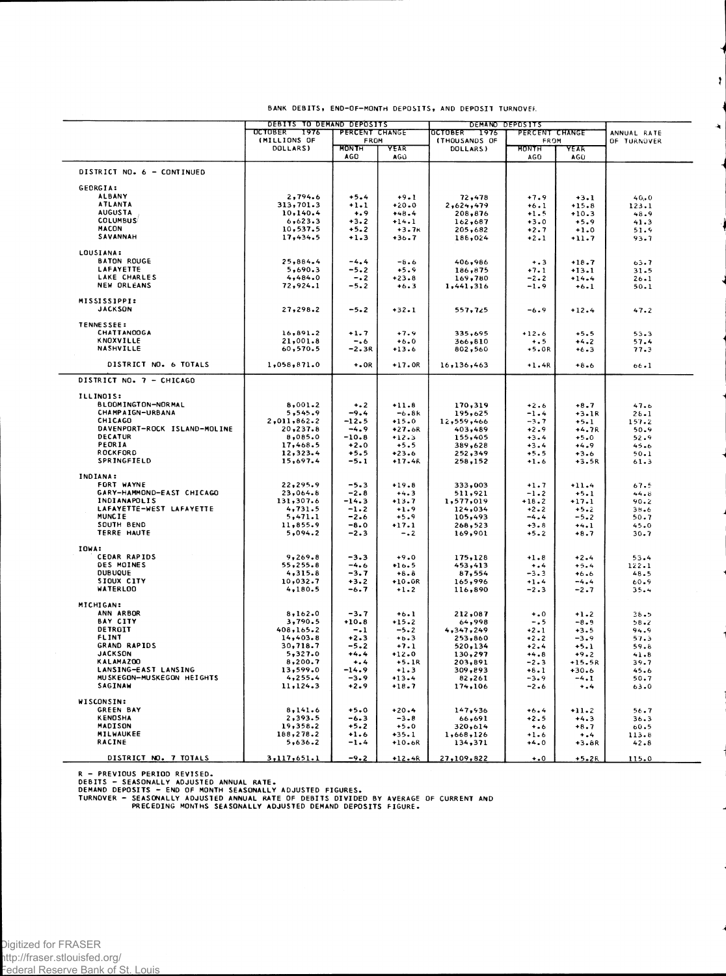|                                                   | DEBITS TO DEMAND DEPOSITS<br><b>OCTOBER</b><br>7976 | PERCENT CHANGE              |                    | <b>OCTOBER</b><br>1976           | DEMAND DEPOSITS<br>PERCENT CHANGE |                  | ANNUAL RATE  |  |
|---------------------------------------------------|-----------------------------------------------------|-----------------------------|--------------------|----------------------------------|-----------------------------------|------------------|--------------|--|
|                                                   | (MILLIONS OF<br>DOLLARS)                            | FROM<br><b>MONTH</b><br>AGO | YEAR<br>AGU        | <b>(THOUSANDS OF</b><br>DOLLARS) | FROM<br>MONTH<br>AGO.             | YEAR<br>AGO      | OF TURNOVER  |  |
| DISTRICT NO. 6 - CONTINUED                        |                                                     |                             |                    |                                  |                                   |                  |              |  |
| GEORGIA:                                          |                                                     |                             |                    |                                  |                                   |                  |              |  |
| <b>ALBANY</b>                                     | 2,794.6                                             | $+5.4$                      | $+9.1$             | 72,478                           | $+7.9$                            | $+3.1$           | 40.0         |  |
| <b>ATLANTA</b>                                    | 313,701.3                                           | $+1.1$                      | $+20.0$            | 2,624,479                        | $+6.1$                            | $+15.8$          | 123.1        |  |
| <b>AUGUSTA</b>                                    | 10,140.4                                            | $+ 0.9$                     | $+48.4$            | 208,876                          | $+1.5$                            | $+10.3$          | 48.9         |  |
| <b>COLUMBUS</b>                                   | 6,623.3                                             | $+3.2$                      | $+14.1$            | 162,687                          | $+3.0$                            | $+5.9$           | 41.3         |  |
| <b>MACON</b>                                      | 10,537.5                                            | $+5.2$                      | $+3.7k$            | 205,682                          | $+2.7$                            | $+1.0$           | 51.9         |  |
| SAVANNAH                                          | 17,434.5                                            | $+1.3$                      | $+36.7$            | 188,024                          | $+2.1$                            | $+11.7$          | 93.7         |  |
| LOUSIANA:                                         |                                                     |                             |                    |                                  |                                   |                  |              |  |
| <b>BATON ROUGE</b>                                | 25,884.4                                            | $-4.4$                      | $-8.6$             | 406,986                          | $+ 3 3$                           | $+18.7$          | 63.7         |  |
| LAFAYETTE                                         | 5,690.3                                             | $-5.2$                      | $+5.9$             | 186,875                          | $+7.1$                            | $+13.1$          | $31 - 5$     |  |
| LAKE CHARLES<br>NEW ORLEANS                       | 4,484.0<br>72,924.1                                 | $-0.2$                      | $+23.8$            | 169,780                          | $-2 - 2$                          | $+14.4$          | $26 - 1$     |  |
|                                                   |                                                     | $-5.2$                      | $+6.3$             | 1,441,316                        | $-1.9$                            | $+6.1$           | 50.1         |  |
| MISSISSIPPI:<br><b>JACKSON</b>                    | 27,298.2                                            | $-5.2$                      | $+32.1$            | 557,725                          | $-6.9$                            | $+12.4$          | 47.2         |  |
| <b>TENNESSEE:</b>                                 |                                                     |                             |                    |                                  |                                   |                  |              |  |
| <b>CHATTANOOGA</b>                                | 16,891.2                                            | $+1.7$                      | $+7.9$             | 335,695                          | $+12.6$                           | $+5.5$           | 53.3         |  |
| KNOXVILLE                                         | 21,001.8                                            | $-0.6$                      | $+6.0$             | 366,810                          | $+ 0.5$                           | $+4.2$           | 57.4         |  |
| NASHVILLE                                         | 60,570.5                                            | $-2.3R$                     | $+13.6$            | 802,560                          | $+5.0R$                           | $+6.3$           | 77.3         |  |
| DISTRICT NO. 6 TOTALS                             | 1,058,871.0                                         | $+0.0R$                     | $+17.0R$           | 16,136,463                       | $+1.4R$                           | $+8.6$           | $66 - 1$     |  |
| DISTRICT NO. 7 - CHICAGO                          |                                                     |                             |                    |                                  |                                   |                  |              |  |
| ILLINOIS:                                         |                                                     |                             |                    |                                  |                                   |                  |              |  |
| BLOOMINGTON-NORMAL                                | 8,001.2                                             | $+ 2$                       | $+11.8$            | 170,319                          | $+2.6$                            | $+8.7$           | 47.6         |  |
| CHAMPAIGN-URBANA                                  | 5,545.9                                             | $-9.4$                      | $-6.8k$            | 195,625                          | $-1 - 4$                          | $+3.1R$          | $26 - 1$     |  |
| CHICAGO                                           | 2,011,862.2                                         | $-12.5$                     | $+15.0$            | 12,559,466                       | $-3.7$                            | $+5.1$           | 157.2        |  |
| DAVENPORT-ROCK ISLAND-MOLINE                      | 20,237.8                                            | $-4.9$                      | $+27.6R$           | 403,489                          | $+2.9$                            | $+4.7R$          | 50.9         |  |
| DECATUR                                           | 8,085.0                                             | $-10.8$                     | $+12.3$            | 155,405                          | $+3.4$                            | $+5.0$           | 52.9         |  |
| PEORIA                                            | 17,468.5                                            | $+2.0$                      | $+5.5$             | 389,628                          | $+3.4$                            | $+4.9$           | 45.6         |  |
| ROCKFORD                                          | 12,323.4                                            | $+5.5$                      | $+23.6$            | 252,349                          | $+5.5$                            | $+3.6$           | 50.1         |  |
| SPRINGFIELD                                       | 15,697.4                                            | $-5.1$                      | $+17.4k$           | 258,152                          | $+1.6$                            | $+3.5R$          | 61.3         |  |
| INDIANA:                                          |                                                     |                             |                    |                                  |                                   |                  |              |  |
| FORT WAYNE                                        | 22,295.9                                            | $-5.3$                      | $+19.8$            | 333,003                          | $+1.7$                            | $+11.4$          | 67.5         |  |
| GARY-HAMMOND-EAST CHICAGO                         | 23,064.8                                            | $-2.8$                      | $+4.3$             | 511,921                          | $-1.2$                            | $+5.1$           | 44.8         |  |
| INDIANAPOLIS                                      | 131,307.6                                           | $-14.3$                     | $+13.7$            | 1,577,019                        | $+18.2$                           | $+17.1$          | 90.2         |  |
| LAFAYETTE-WEST LAFAYETTE                          | 4,731.5                                             | $-1.2$                      | $+1.9$             | 124,034                          | $+2 - 2$                          | $+5.2$           | $38 - 6$     |  |
| MUNCIE                                            | 5,471.1                                             | $-2.6$                      | $+5.9$             | 105,493                          | $-4.4$                            | $-5 - 2$         | $50 - 7$     |  |
| SOUTH BEND                                        | 11,855.9                                            | $-8.0$                      | $+17.1$            | 268,523                          | $+3.8$                            | $+4.1$           | 45.0         |  |
| TERRE HAUTE                                       | 5,094.2                                             | $-2.3$                      | $-0.2$             | 169,901                          | $+5 - 2$                          | $+8.7$           | $30 - 7$     |  |
| IOWA:                                             |                                                     |                             |                    |                                  |                                   |                  |              |  |
| <b>CEDAR RAPIDS</b>                               | 9,269.8                                             | $-3.3$                      | $+9.0$             | 175,128                          | $+1.8$                            | $+2.4$           | 53.4         |  |
| DES MOINES                                        | 55,255.8                                            | $-4.6$                      | $+16.5$            | 453,413                          | $\dots$                           | $+5.4$           | 122.1        |  |
| <b>DUBUQUE</b>                                    | 4,315.8                                             | $-3.7$                      | $+8.8$             | 87,554                           | $-3.3$                            | $+6.6$           | 48.5         |  |
| SIOUX CITY                                        | 10,032.7                                            | $+3.2$                      | $+10.0R$           | 165,996                          | $+1.4$                            | $-4.4$           | 60.9         |  |
| <b>WATERLOO</b>                                   | 4,180.5                                             | -6.7                        | $+1.2$             | 116,890                          | $-2.3$                            | $-2.7$           | 35.4         |  |
| <b>MICHIGAN:</b>                                  |                                                     |                             |                    |                                  |                                   |                  |              |  |
| ANN ARBOR                                         | 8,162.0                                             | $-3.7$                      | $+6.1$             | 212,087                          | $+0$                              | $+1.2$           | 38.5         |  |
| BAY CITY                                          | 3,790.5                                             | $+10.8$                     | $+15.2$            | 64,998                           | $-0.5$                            | $-8.9$           | $58 - 2$     |  |
| DETROIT                                           | 408,165.2                                           | $-1$                        | $-5 - 2$           | 4,347,249                        | $+2 - 1$                          | $+3.5$           | 94.9         |  |
| FLINT                                             | 14,403.8                                            | $+2.3$                      | $+8.3$             | 253,860                          | $+2.2$                            | $-3.9$           | 57.3         |  |
| <b>GRAND RAPIDS</b><br><b>JACKSON</b>             | 30,718.7                                            | $-5.2$                      | $+7.1$             | 520,134                          | $+2.4$                            | $+5.1$           | 59.8         |  |
| KALAMAZ00                                         | 5,327.0<br>8,200.7                                  | $+4.4$<br>$+ 1.4$           | $+12.0$<br>$+5.1R$ | 130,297                          | $+4.8$                            | $+9.2$           | 41.8         |  |
|                                                   |                                                     |                             |                    | 203,891                          | $-2.3$                            | $+15.5R$         | 39.7         |  |
| LANSING-EAST LANSING<br>MUSKEGON-MUSKEGON HEIGHTS | 13,599.0                                            | $-14.9$                     | $+1.3$<br>$+13.4$  | 309,893                          | $+8.1$                            | $+30.6$          | 45.6         |  |
| SAGINAW                                           | 4,255.4<br>11, 124.3                                | $-3.9$<br>$+2.9$            | $+18.7$            | 82,261<br>174,106                | $-3.9$<br>$-2.6$                  | $-4.1$<br>$+1.4$ | 50.7<br>63.0 |  |
| WISCONSIN:                                        |                                                     |                             |                    |                                  |                                   |                  |              |  |
| <b>GREEN BAY</b>                                  | 8,141.6                                             | $+5.0$                      | $+20.4$            | 147,936                          | $+6.4$                            | $+11.2$          | 56.7         |  |
| <b>KENDSHA</b>                                    | 2,393.5                                             | -6.3                        | $-3 - 8$           | 66,691                           | $+2.5$                            | $+4.3$           | 36.3         |  |
| MADISON                                           | 19,358.2                                            | $+5.2$                      | $+5.0$             | 320,614                          | $+ 0.6$                           | $+8.7$           | 60.5         |  |
| MILWAUKEE                                         | 188,278.2                                           | $+1.6$                      | $+35.1$            | 1,668,126                        | $+1.6$                            | $+ 1.4$          | 113.8        |  |
| <b>RACINE</b>                                     | 5,636.2                                             | $-1.4$                      | $+10.6R$           | 134,371                          | $+4.0$                            | $+3.8R$          | 42.8         |  |
|                                                   |                                                     |                             |                    |                                  |                                   |                  |              |  |
| DISTRICT NO. 7 TOTALS                             | 3,117,651.1                                         | $-9.2$                      | $+12.4R$           | 27,109,822                       | $\ddotsc$                         | $+5.2R$          | 115.0        |  |

BANK DEBITS, END-OF-MONTH DEPOSITS, AND DEPOSIT TURNOVER.

 $\ddot{\imath}$ 

Ą

R – PREVIOUS PERIOD REVISED.<br>DEBITS – SEASONALLY ADJUSTED ANNUAL RATE.<br>DEMAND DEPOSITS – END OF MONTH SEASONALLY ADJUSTED FIGURES.<br>TURNOVER – SEASONALLY ADJUSTED ANNUAL RATE OF DEBITS DIVIDED BY AVERAGE OF CURRENT AND<br>PREC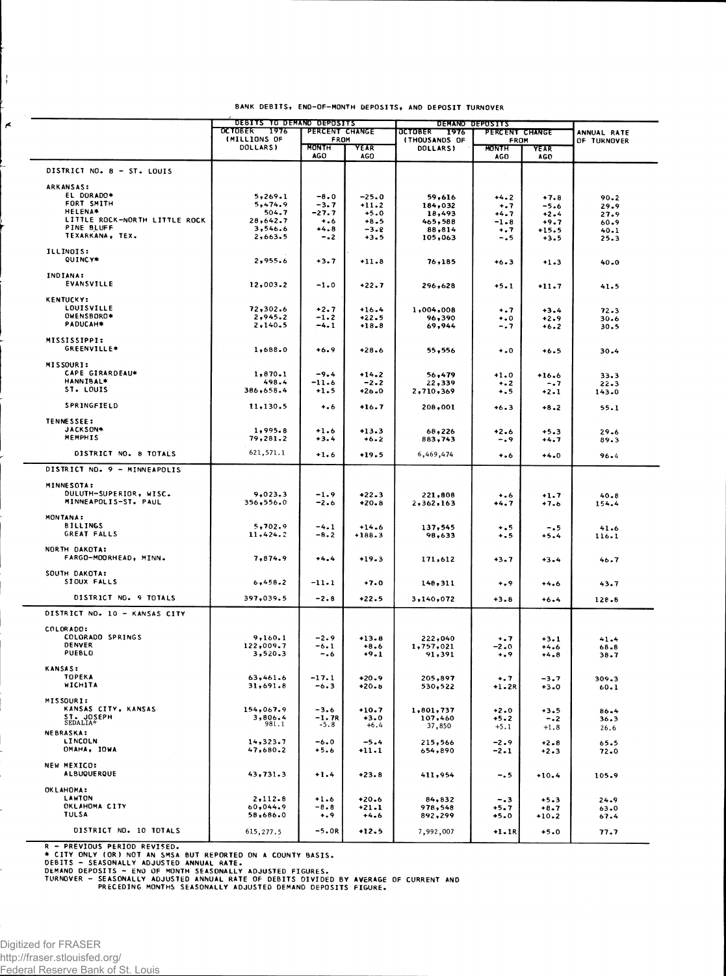| BANK DEBITS, END-OF-MONTH DEPOSITS, AND DEPOSIT TURNOVER |  |  |  |
|----------------------------------------------------------|--|--|--|
|----------------------------------------------------------|--|--|--|

|                               | DEBITS TO DEMAND DEPOSITS |                   |            | DEMAND DEPOSITS                  |                      |             |             |
|-------------------------------|---------------------------|-------------------|------------|----------------------------------|----------------------|-------------|-------------|
|                               | 7976<br><b>OCTOBER</b>    | PERCENT CHANGE    |            | <b>OCTOBER</b><br>1976           | PERCENT CHANGE       |             | ANNUAL RATE |
|                               | (MILLIONS OF<br>DOLLARS)  | FROM<br>MONTH     | YEAR       | <b>(THOUSANDS OF</b><br>DOLLARS) | FROM<br><b>MONTH</b> | <b>YEAR</b> | OF TURNOVER |
|                               |                           | <b>AGO</b>        | <b>AGO</b> |                                  | AGO                  | AGO         |             |
| DISTRICT NO. 8 - ST. LOUIS    |                           |                   |            |                                  |                      |             |             |
| <b>ARKANSAS:</b>              |                           |                   |            |                                  |                      |             |             |
| EL DORADO*                    | 5,269.1                   | $-8.0$            | $-25.0$    | 59,616                           | $+4.2$               | $+7.8$      | 90.2        |
| FORT SMITH                    | 5,474.9                   | $-3.7$            | $+11.2$    | 184,032                          | $\ddots$             | $-5.6$      | 29.9        |
| <b>HELENA*</b>                | 504.7                     | $-27.7$           | $+5.0$     | 18,493                           | $+4.7$               | $+2.4$      | 27.9        |
| LITTLE ROCK-NORTH LITTLE ROCK | 28,642.7                  | $+1.6$            | $+8.5$     | 465,588                          | $-1 - 8$             | $+9.7$      | 60.9        |
| PINE BLUFF                    | 3,546.6                   | $+4.8$            | $-3 - 2$   | 88,814                           | $+ .7$               | $+15.5$     | 40.1        |
| TEXARKANA, TEX.               | 2,663.5                   | $-.2$             | $+3.5$     | 105,063                          | $-0.5$               | $+3.5$      | 25.3        |
| ILLINOIS:                     |                           |                   |            |                                  |                      |             |             |
| QUINCY*                       | 2,955.6                   | $+3.7$            | $+11.8$    | 76,185                           | $+6.3$               | $+1.3$      | $40 - 0$    |
| INDIANA:                      |                           |                   |            |                                  |                      |             |             |
| EVANSVILLE                    | 12,003.2                  | $-1.0$            | $+22.7$    | 296,628                          | $+5.1$               | $+11.7$     | 41.5        |
| <b>KENTUCKY:</b>              |                           |                   |            |                                  |                      |             |             |
| LOUISVILLE                    | 72,302.6                  | $+2.7$            | $+16.4$    | 1,004,008                        | $+0.7$               | $+3.4$      | 72.3        |
| OWENSBORO*                    | 2,945.2                   | $-1.2$            | $+22.5$    | 96,390                           | $\ddotsc$            | $+2.9$      | 30.6        |
| PADUCAH*                      | 2,140.5                   | $-4.1$            | $+18 - 8$  | 69,944                           | -. 7                 | $+6.2$      | 30.5        |
|                               |                           |                   |            |                                  |                      |             |             |
| MISSISSIPPI:<br>GREENVILLE*   | 1,688.0                   | $+6.9$            | $+28.6$    | 55,556                           | $\ddotsc$            |             |             |
|                               |                           |                   |            |                                  |                      | $+6.5$      | 30.4        |
| MISSOURI:<br>CAPE GIRARDEAU*  |                           |                   |            |                                  |                      |             |             |
| HANNIBAL*                     | 1,870.1<br>498.4          | $-9.4$<br>$-11.6$ | $+14.2$    | 56,479                           | $+1.0$               | $+16.6$     | 33.3        |
| ST. LOUIS                     | 386,658.4                 | $+1.5$            | $-2.2$     | 22,339                           | $+ 2$                | -.7         | 22.3        |
|                               |                           |                   | $+26.0$    | 2,710,369                        | $+ . 5$              | $+2.1$      | 143.0       |
| SPRINGFIELD                   | 11,130.5                  | $+ 0.6$           | $+16.7$    | 208,001                          | $+6.3$               | $+8.2$      | 55.1        |
| TENNESSEE:                    |                           |                   |            |                                  |                      |             |             |
| JACKSON*                      | 1,995.8                   | $+1.6$            | $+13.3$    | 68,226                           | $+2.6$               | $+5.3$      | 29.6        |
| MEMPHIS                       | 79,281.2                  | $+3.4$            | $+6 - 2$   | 883,743                          | -.9                  | $+4.7$      | 89.3        |
| DISTRICT NO. 8 TOTALS         | 621,571.1                 | $+1.6$            | $+19.5$    | 6,469,474                        | $+ 0.6$              | $+4.0$      | $96 - 4$    |
|                               |                           |                   |            |                                  |                      |             |             |
| DISTRICT NO. 9 - MINNEAPOLIS  |                           |                   |            |                                  |                      |             |             |
| MINNESOTA:                    |                           |                   |            |                                  |                      |             |             |
| DULUTH-SUPERIOR, WISC.        | 9,023.3                   | $-1.9$            | $+22.3$    | 221,808                          | $+ 0.6$              | $+1.7$      | $40 - 8$    |
| MINNEAPOLIS-ST. PAUL          | 356,556.0                 | $-2.6$            | $+20.8$    | 2,362,163                        | +4.7                 | +7.6        | 154.4       |
| <b>MONTANA:</b>               |                           |                   |            |                                  |                      |             |             |
| <b>BILLINGS</b>               | 5,702.9                   | $-4.1$            | $+14.6$    | 137,545                          | $+ .5$               | $-0.5$      | 41.6        |
| GREAT FALLS                   | 11,424.2                  | $-8.2$            | $+188.3$   | 98,633                           | $+ 5$                | $+5.4$      | $116 - 1$   |
|                               |                           |                   |            |                                  |                      |             |             |
| NORTH DAKOTA:                 |                           |                   |            |                                  |                      |             |             |
| FARGO-MOORHEAD, MINN.         | 7,874.9                   | $+4.4$            | $+19.3$    | 171,612                          | $+3 - 7$             | $+3 - 4$    | 46.7        |
| SOUTH DAKOTA:                 |                           |                   |            |                                  |                      |             |             |
| SIOUX FALLS                   | 6,458.2                   | $-11.1$           | $+7.0$     | 148,311                          | $^{+.9}$             | $+4.6$      | 43.7        |
| DISTRICT NO. 9 TOTALS         | 397,039.5                 | $-2.8$            | $+22.5$    | 3,140,072                        | $+3.8$               | $+6.4$      | $128 - 8$   |
| DISTRICT NO. 10 - KANSAS CITY |                           |                   |            |                                  |                      |             |             |
|                               |                           |                   |            |                                  |                      |             |             |
| COLORADO:                     |                           |                   |            |                                  |                      |             |             |
| COLORADO SPRINGS              | 9,160.1                   | $-2.9$            | $+13.8$    | 222,040                          | $+ 0.7$              | $+3.1$      | 41.4        |
| DENVER                        | 122,009.7                 | -6.1              | $+8.6$     | 1,757,021                        | -2.0                 | $+4.6$      | $68 - 8$    |
| PUEBLO                        | 3,520.3                   | -.6               | $+9.1$     | 91,391                           | $+ .9$               | $+4.8$      | $38 - 7$    |
| <b>KANSAS:</b>                |                           |                   |            |                                  |                      |             |             |
| <b>TOPEKA</b>                 | 63,461.6                  | $-17.1$           | $+20.9$    | 205,897                          | $+ 7$                | -3.7        | 309.3       |
| WICHITA                       | 31,691.8                  | $-6.3$            | $+20.8$    | 530,522                          | +1.2R                | $+3.0$      | $60 - 1$    |
| MISSOURI:                     |                           |                   |            |                                  |                      |             |             |
| KANSAS CITY, KANSAS           | 154,067.9                 | $-3.6$            | $+10.7$    | 1,801,737                        | $+2.0$               | $+3.5$      | 86.4        |
|                               | 3,806.4                   | $-1.7R$           | $+3.0$     | 107,460                          | $+5.2$               | $-0.2$      | 36.3        |
| ST. JOSEPH<br>SEDALIA*        | 981.1                     | $-5.8$            | $+6.4$     | 37,850                           | $+5.1$               | $+1.8$      | 26.6        |
| <b>NEBRASKA:</b>              |                           |                   |            |                                  |                      |             |             |
| LINCOLN                       | 14,323.7                  | $-6.0$            | $-5.4$     | 215,566                          | $-2.9$               | $+2 - 8$    | 65.5        |
| OMAHA, IOWA                   | 47,680.2                  | $+5.6$            | $+11.1$    | 654,890                          | -2.1                 | $+2.3$      | 72.0        |
| NEW MEXICO:                   |                           |                   |            |                                  |                      |             |             |
| <b>ALBUQUERQUE</b>            | 43,731.3                  | $+1.4$            | $+23.8$    | 411,954                          | -. 5                 | $+10.4$     | 105.9       |
| OKLAHOMA:                     |                           |                   |            |                                  |                      |             |             |
| LAWTON                        | 2,112.8                   | $+1.6$            | $+20.6$    | 84,832                           | -.3                  | $+5.3$      | $24 - 9$    |
| <b>OKLAHOMA CITY</b>          | 60,044.9                  | $-8.8$            | $+21.1$    | 978,548                          | $+5.7$               | $+8.7$      | $63 - 0$    |
| TULSA                         | 58,686.0                  | $^{+.9}$          | $+4.6$     | 892,299                          | $+5.0$               | $+10.2$     | 67.4        |
|                               |                           |                   |            |                                  |                      |             |             |
| DISTRICT NO. 10 TOTALS        | 615,277.5                 | $-5.0R$           | $+12.5$    | 7,992,007                        | $+1.1R$              | $+5.0$      | 77.7        |

R - PREVIOUS PERIOD REVISED.<br>THE CITY ONLY (OR) NOT AN SMSA BUT REPORTED ON A COUNTY BASIS.<br>DEBITS - SEASONALLY ADJUSTED ANNUAL RATE.<br>DEMAND DEPOSITS - END OF MONTH SEASONALLY ADJUSTED FIGURES.<br>TURNOVER - SEASONALLY ADJUST

 $\frac{1}{2}$ 

 $\vert$   $\star$